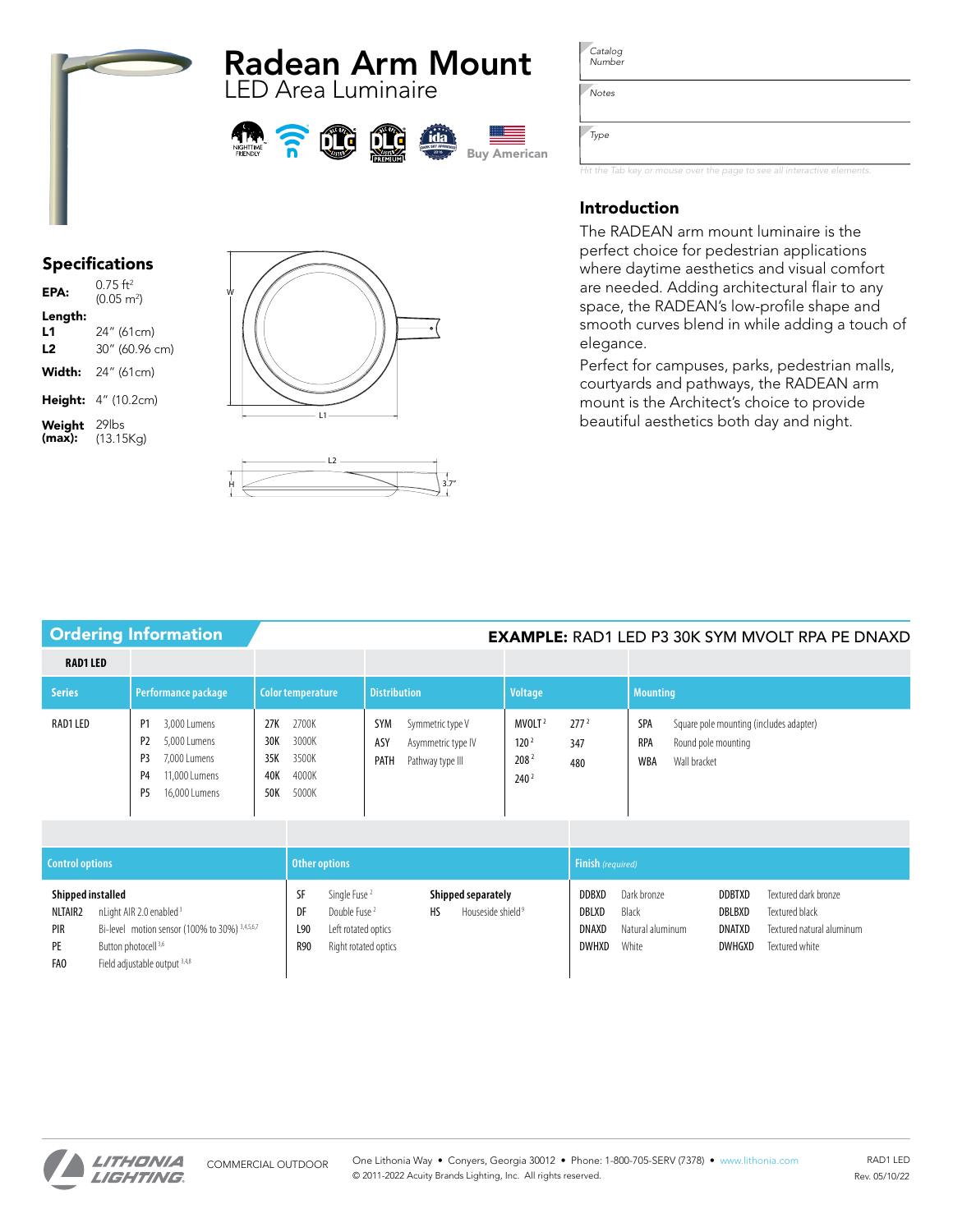# Radean Arm Mount LED Area Luminaire







*Catalog Number*

*Notes*

*Type*

*Hit the Tab key or mouse over the page to see all interactive elements.*

# Introduction

The RADEAN arm mount luminaire is the perfect choice for pedestrian applications where daytime aesthetics and visual comfort are needed. Adding architectural flair to any space, the RADEAN's low-profile shape and smooth curves blend in while adding a touch of elegance.

Perfect for campuses, parks, pedestrian malls, courtyards and pathways, the RADEAN arm mount is the Architect's choice to provide beautiful aesthetics both day and night.

# Specifications

| EPA:                   | $0.75$ ft <sup>2</sup><br>$(0.05 \text{ m}^2)$ |
|------------------------|------------------------------------------------|
| Length:<br>L1<br>L2    | 24" (61cm)<br>30" (60.96 cm)                   |
| Width:                 | 24" (61cm)                                     |
|                        | Height: 4" (10.2cm)                            |
| Weight 29lbs<br>(max): | (13.15Kg)                                      |





# Ordering Information **EXAMPLE:** RAD1 LED P3 30K SYM MVOLT RPA PE DNAXD

| <b>RAD1 LED</b> |                                                                                                                                                              |                                                                              |                                                                                         |                                                                                                      |                                                                                                            |  |  |  |  |
|-----------------|--------------------------------------------------------------------------------------------------------------------------------------------------------------|------------------------------------------------------------------------------|-----------------------------------------------------------------------------------------|------------------------------------------------------------------------------------------------------|------------------------------------------------------------------------------------------------------------|--|--|--|--|
| <b>Series</b>   | Performance package                                                                                                                                          | Color temperature                                                            | <b>Distribution</b>                                                                     | <b>Voltage</b>                                                                                       | <b>Mounting</b>                                                                                            |  |  |  |  |
| RAD1 LED        | 3,000 Lumens<br>P1<br>P <sub>2</sub><br>5,000 Lumens<br>P <sub>3</sub><br>7,000 Lumens<br>11,000 Lumens<br>P <sub>4</sub><br>P <sub>5</sub><br>16,000 Lumens | 2700K<br>27K<br>3000K<br>30K<br>3500K<br>35K<br>4000K<br>40K<br>5000K<br>50K | <b>SYM</b><br>Symmetric type V<br>ASY<br>Asymmetric type IV<br>PATH<br>Pathway type III | 277 <sup>2</sup><br>MVOLT <sup>2</sup><br>120 <sup>2</sup><br>347<br>2082<br>480<br>240 <sup>2</sup> | SPA<br>Square pole mounting (includes adapter)<br><b>RPA</b><br>Round pole mounting<br>WBA<br>Wall bracket |  |  |  |  |

| <b>Control options</b>                                                   |                                                                                                                                                           |                                  | Other options                                                                                       |    |                                                     |                                                | <b>Finish</b> (required)                          |                                                           |                                                                                       |  |  |  |  |  |  |
|--------------------------------------------------------------------------|-----------------------------------------------------------------------------------------------------------------------------------------------------------|----------------------------------|-----------------------------------------------------------------------------------------------------|----|-----------------------------------------------------|------------------------------------------------|---------------------------------------------------|-----------------------------------------------------------|---------------------------------------------------------------------------------------|--|--|--|--|--|--|
| Shipped installed<br>NLTAIR <sub>2</sub><br>PIR<br>PE<br>FA <sub>0</sub> | nLight AIR 2.0 enabled <sup>3</sup><br>Bi-level motion sensor (100% to 30%) 3,4,5,6,7<br>Button photocell <sup>3,6</sup><br>Field adjustable output 3,4,8 | - S.L<br>DF<br>L90<br><b>R90</b> | Single Fuse <sup>2</sup><br>Double Fuse <sup>2</sup><br>Left rotated optics<br>Right rotated optics | HS | Shipped separately<br>Houseside shield <sup>9</sup> | <b>DDBXD</b><br>DBLXD<br>DNAXD<br><b>DWHXD</b> | Dark bronze<br>Black<br>Natural aluminum<br>White | <b>DDBTXD</b><br><b>DBLBXD</b><br>DNATXD<br><b>DWHGXD</b> | Textured dark bronze<br>Textured black<br>Textured natural aluminum<br>Textured white |  |  |  |  |  |  |

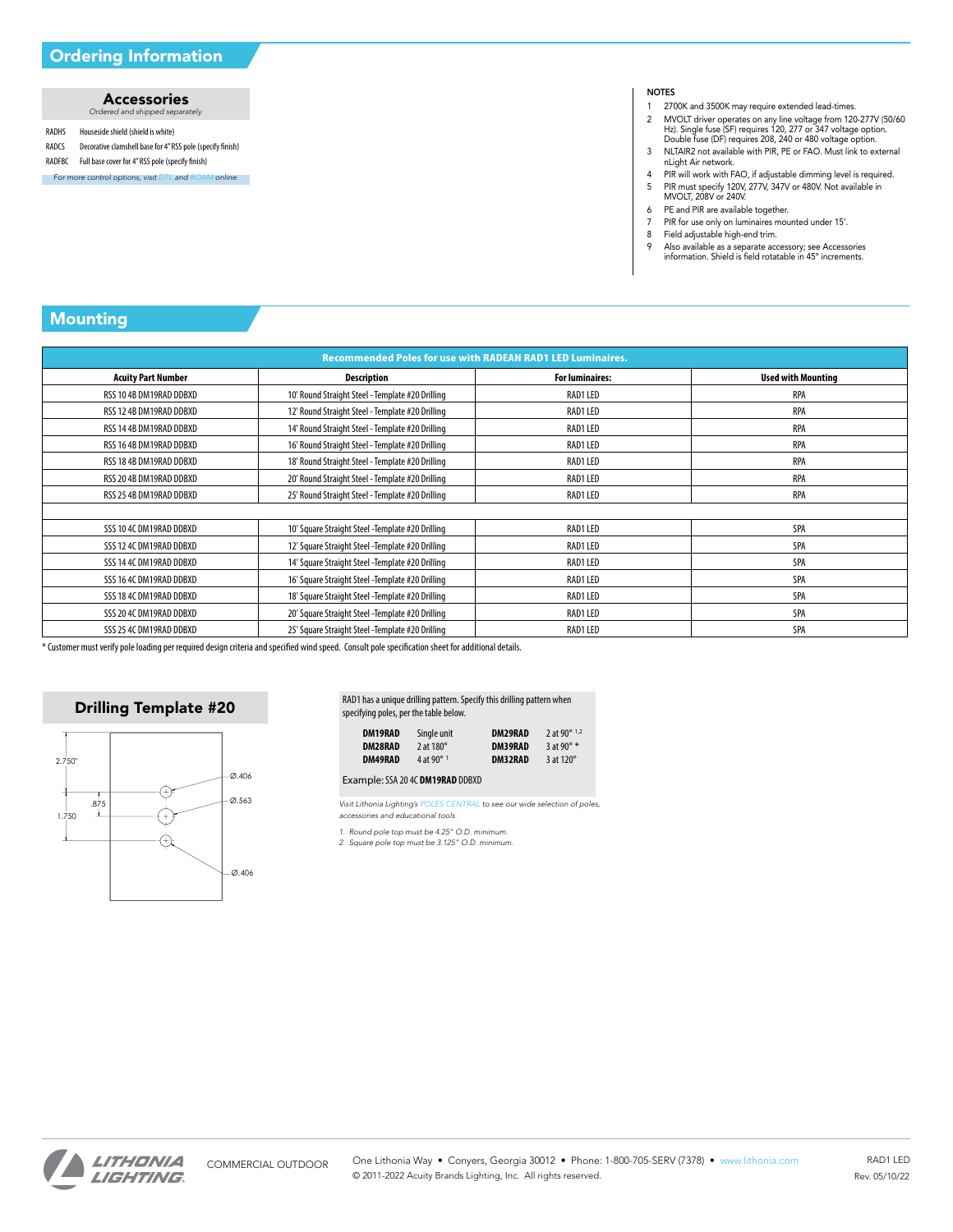### Accessories *Ordered and shipped separately.*

- RADHS Houseside shield (shield is white)
- RADCS Decorative clamshell base for 4" RSS pole (specify finish)
- RADFBC Full base cover for 4" RSS pole (specify finish)
- *For more control options, visit [DTL](https://www.acuitybrands.com/brands/lighting-controls/dtl) and [ROAM](https://www.acuitybrands.com/brands/lighting-controls/roam) online.*

### **NOTES**

- 1 2700K and 3500K may require extended lead-times.<br>2 MVOLT driver operates on any line voltage from 120
- 2 MVOLT driver operates on any line voltage from 120-277V (50/60 Hz). Single fuse (SF) requires 120, 277 or 347 voltage option. Double fuse (DF) requires 208, 240 or 480 voltage option.
- 3 NLTAIR2 not available with PIR, PE or FAO. Must link to external nLight Air network.
- 4 PIR will work with FAO, if adjustable dimming level is required. 5 PIR must specify 120V, 277V, 347V or 480V. Not available in MVOLT, 208V or 240V.
- 
- 6 PE and PIR are available together.<br>7 PIR for use only on luminaires mo
- PIR for use only on luminaires mounted under 15'.
- 8 Field adjustable high-end trim.<br>9 Also available as a separate acc
- 9 Also available as a separate accessory; see Accessories information. Shield is field rotatable in 45º increments.

# Mounting

| <b>Recommended Poles for use with RADEAN RAD1 LED Luminaires.</b> |                                                   |                        |                           |  |  |  |  |  |  |  |  |  |
|-------------------------------------------------------------------|---------------------------------------------------|------------------------|---------------------------|--|--|--|--|--|--|--|--|--|
| <b>Acuity Part Number</b>                                         | <b>Description</b>                                | <b>For luminaires:</b> | <b>Used with Mounting</b> |  |  |  |  |  |  |  |  |  |
| RSS 10 4B DM19RAD DDBXD                                           | 10' Round Straight Steel - Template #20 Drilling  | RAD1 LED               | RPA                       |  |  |  |  |  |  |  |  |  |
| RSS 12 4B DM19RAD DDBXD                                           | 12' Round Straight Steel - Template #20 Drilling  | RAD1 LED               | RPA                       |  |  |  |  |  |  |  |  |  |
| RSS 14 4B DM19RAD DDBXD                                           | 14' Round Straight Steel - Template #20 Drilling  | RAD1 LED               | RPA                       |  |  |  |  |  |  |  |  |  |
| RSS 16 4B DM19RAD DDBXD                                           | 16' Round Straight Steel - Template #20 Drilling  | RAD1 LED               | <b>RPA</b>                |  |  |  |  |  |  |  |  |  |
| RSS 18 4B DM19RAD DDBXD                                           | 18' Round Straight Steel - Template #20 Drilling  | RAD1 LED               | RPA                       |  |  |  |  |  |  |  |  |  |
| RSS 20 4B DM19RAD DDBXD                                           | 20' Round Straight Steel - Template #20 Drilling  | RAD1 LED               | RPA                       |  |  |  |  |  |  |  |  |  |
| RSS 25 4B DM19RAD DDBXD                                           | 25' Round Straight Steel - Template #20 Drilling  | RAD1 LED               | RPA                       |  |  |  |  |  |  |  |  |  |
|                                                                   |                                                   |                        |                           |  |  |  |  |  |  |  |  |  |
| SSS 10 4C DM19RAD DDBXD                                           | 10' Square Straight Steel - Template #20 Drilling | RAD1 LED               | SPA                       |  |  |  |  |  |  |  |  |  |
| SSS 12 4C DM19RAD DDBXD                                           | 12' Square Straight Steel -Template #20 Drilling  | RAD1 LED               | SPA                       |  |  |  |  |  |  |  |  |  |
| SSS 14 4C DM19RAD DDBXD                                           | 14' Square Straight Steel - Template #20 Drilling | RAD1 LED               | SPA                       |  |  |  |  |  |  |  |  |  |
| SSS 16 4C DM19RAD DDBXD                                           | 16' Square Straight Steel - Template #20 Drilling | RAD1 LED               | SPA                       |  |  |  |  |  |  |  |  |  |
| SSS 18 4C DM19RAD DDBXD                                           | 18' Square Straight Steel - Template #20 Drilling | RAD1 LED               | SPA                       |  |  |  |  |  |  |  |  |  |
| SSS 20 4C DM19RAD DDBXD                                           | 20' Square Straight Steel - Template #20 Drilling | RAD1 LED               | SPA                       |  |  |  |  |  |  |  |  |  |
| SSS 25 4C DM19RAD DDBXD                                           | 25' Square Straight Steel - Template #20 Drilling | RAD1 LED               | SPA                       |  |  |  |  |  |  |  |  |  |

\* Customer must verify pole loading per required design criteria and specified wind speed. Consult pole specification sheet for additional details.

## Drilling Template #20



### RAD1 has a unique drilling pattern. Specify this drilling pattern when specifying poles, per the table below.

| DM19RAD | Single unit          | DM29RAD        | 2 at 90 $^{\circ}$ 1.2 |
|---------|----------------------|----------------|------------------------|
| DM28RAD | 2 at $180^\circ$     | DM39RAD        | $3$ at 90 $^{\circ}$ * |
| DM49RAD | 4 at 90 $^{\circ}$ 1 | <b>DM32RAD</b> | $3$ at 120 $^{\circ}$  |

Example:SSA 20 4C **DM19RAD** DDBXD

*Visit Lithonia Lighting's [POLES CENTRAL](https://lithonia.acuitybrands.com/products/outdoor/poles) to see our wide selection of poles, accessories and educational tools.*

*1. Round pole top must be 4.25" O.D. minimum. 2. Square pole top must be 3.125" O.D. minimum.*

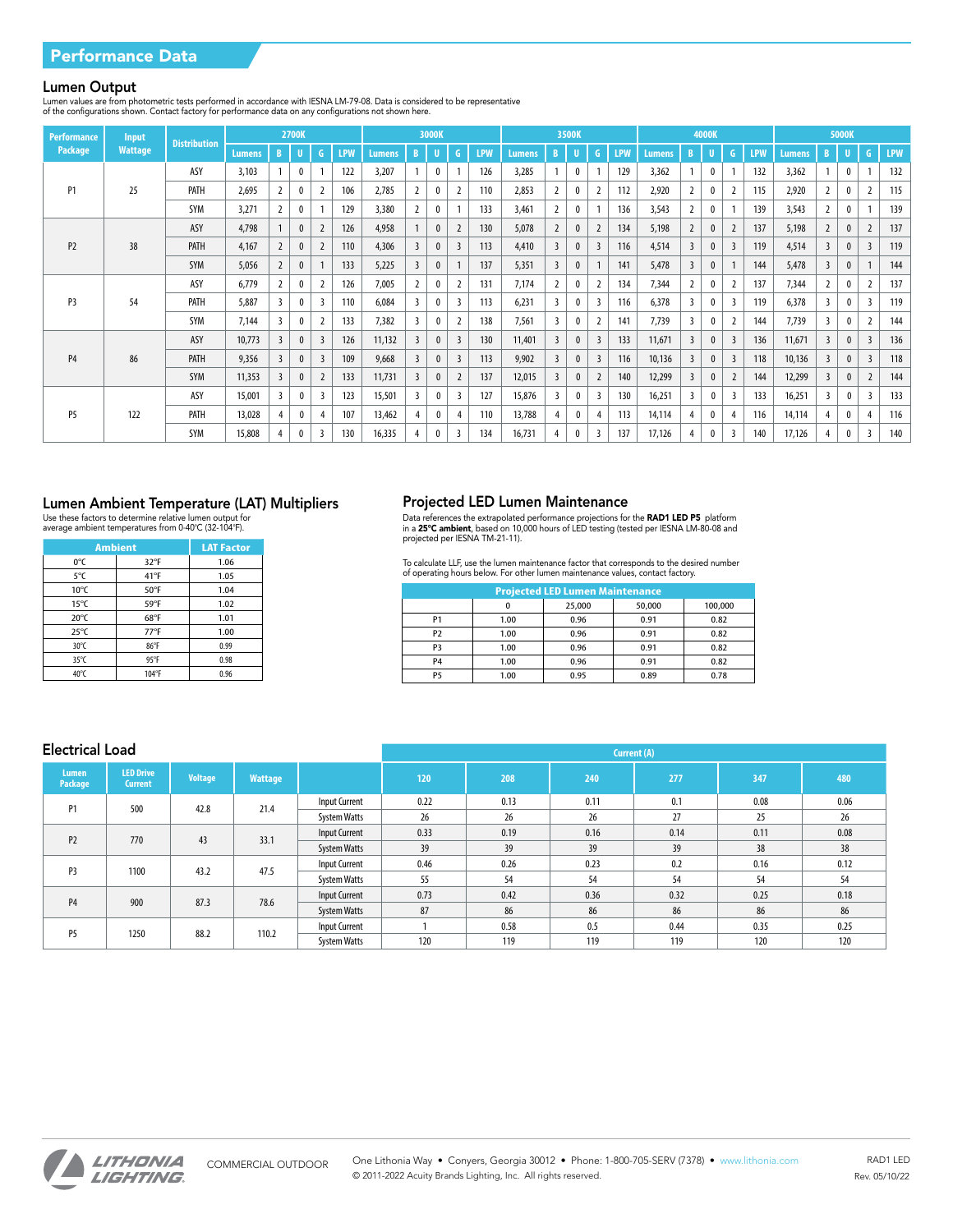### Lumen Output

Lumen values are from photometric tests performed in accordance with IESNA LM-79-08. Data is considered to be representative<br>of the configurations shown. Contact factory for performance data on any configurations not shown

| <b>Performance</b><br>Input<br><b>Distribution</b> |                |      |               |                | 2700K        |                |            |        | 3000K          |              |                | 3500K<br>4000K |        |                         |              |                |            | <b>5000K</b>  |                         |                  |                |            |        |                |              |                         |            |
|----------------------------------------------------|----------------|------|---------------|----------------|--------------|----------------|------------|--------|----------------|--------------|----------------|----------------|--------|-------------------------|--------------|----------------|------------|---------------|-------------------------|------------------|----------------|------------|--------|----------------|--------------|-------------------------|------------|
| Package                                            | <b>Wattage</b> |      | <b>Lumens</b> | B              | U)           | -6             | <b>LPW</b> | Lumens | B              | U.           | G              | <b>LPW</b>     | Lumens | B                       | U.           | G              | <b>LPW</b> | <b>Lumens</b> | B.                      | U                | G              | <b>LPW</b> | Lumens | B              | u            | $\mathsf{G}$            | <b>LPW</b> |
|                                                    |                | ASY  | 3,103         |                |              |                | 122        | 3,207  | $\overline{1}$ | 0            |                | 126            | 3,285  |                         | $\mathbf{0}$ |                | 129        | 3,362         |                         | $\mathbf{0}$     |                | 132        | 3,362  |                | $\mathbf{0}$ |                         | 132        |
| P <sub>1</sub>                                     | 25             | PATH | 2,695         |                |              | $\overline{2}$ | 106        | 2,785  | $\overline{2}$ | $\mathbf{0}$ | 2              | 110            | 2,853  | $\overline{2}$          | $\mathbf 0$  | 2              | 112        | 2,920         | $\overline{2}$          | $\boldsymbol{0}$ | $\overline{2}$ | 115        | 2,920  | 2              | $\mathbf{0}$ | $\overline{2}$          | 115        |
|                                                    |                | SYM  | 3,271         |                |              |                | 129        | 3,380  | $\overline{2}$ | 0            |                | 133            | 3,461  | $\overline{2}$          | $\mathbf{0}$ |                | 136        | 3,543         | $\overline{2}$          |                  |                | 139        | 3,543  | $\overline{2}$ | $\mathbf{0}$ |                         | 139        |
|                                                    |                | ASY  | 4,798         |                |              | $\overline{2}$ | 126        | 4,958  |                | $\mathbf{0}$ | 2              | 130            | 5,078  | $\overline{2}$          | $\mathbf{0}$ | 2              | 134        | 5,198         | $\overline{2}$          | $\mathbf{0}$     | 2              | 137        | 5,198  | $\overline{2}$ | $\mathbf{0}$ | $\overline{2}$          | 137        |
| P <sub>2</sub>                                     | 38             | PATH | 4,167         |                | 0            | $\overline{2}$ | 110        | 4,306  | $\overline{3}$ | $\mathbf{0}$ | $\overline{3}$ | 113            | 4,410  | $\overline{3}$          | $\mathbf{0}$ | 3              | 116        | 4,514         | $\mathbf{3}$            | $\mathbf{0}$     | $\overline{3}$ | 119        | 4,514  | 3              |              | $\overline{3}$          | 119        |
|                                                    |                | SYM  | 5,056         |                | $\mathbf{0}$ |                | 133        | 5,225  | $\overline{3}$ | $\mathbf{0}$ |                | 137            | 5,351  | $\overline{3}$          | $\mathbf{0}$ |                | 141        | 5,478         | $\overline{3}$          | $\mathbf{0}$     |                | 144        | 5,478  | 3              | $\mathbf{0}$ |                         | 144        |
|                                                    |                | ASY  | 6,779         |                |              | 2              | 126        | 7,005  | 2              | $\mathbf 0$  | 2              | 131            | 7,174  | $\overline{2}$          | $\mathbf 0$  | $\overline{2}$ | 134        | 7,344         | $\mathbf{2}$            | $\mathbf{0}$     | 2              | 137        | 7,344  | $\mathbf{2}$   |              | $\overline{2}$          | 137        |
| P <sub>3</sub>                                     | 54             | PATH | 5,887         | 3              |              | 3              | 110        | 6,084  | 3              | $\mathbf 0$  | 3              | 113            | 6,231  | $\overline{\mathbf{3}}$ | $\mathbf{0}$ | 3              | 116        | 6,378         | $\mathbf{3}$            | 0                | 3              | 119        | 6,378  | 3              |              | 3                       | 119        |
|                                                    |                | SYM  | 7,144         | 3              |              | $\overline{2}$ | 133        | 7,382  | $\overline{3}$ | $\mathbf 0$  | 2              | 138            | 7,561  | $\overline{\mathbf{3}}$ | $\mathbf{0}$ |                | 141        | 7,739         | 3                       | $\mathbf{0}$     | $\overline{2}$ | 144        | 7,739  | 3              |              | $\overline{2}$          | 144        |
|                                                    |                | ASY  | 10,773        | $\overline{3}$ | $\mathbf{0}$ | $\overline{3}$ | 126        | 11,132 | $\overline{3}$ | $\mathbf{0}$ | $\overline{3}$ | 130            | 11,401 | $\overline{3}$          | $\mathbf{0}$ | $\overline{3}$ | 133        | 11,671        | $\overline{\mathbf{3}}$ | $\mathbf{0}$     | $\overline{3}$ | 136        | 11,671 | 3              |              | $\overline{3}$          | 136        |
| <b>P4</b>                                          | 86             | PATH | 9,356         | $\overline{3}$ | $\mathbf{0}$ | $\overline{3}$ | 109        | 9,668  | $\overline{3}$ | $\mathbf{0}$ | $\overline{3}$ | 113            | 9,902  | $\overline{3}$          | $\mathbf{0}$ | $\overline{3}$ | 116        | 10,136        | $\overline{3}$          | $\mathbf{0}$     | $\overline{3}$ | 118        | 10,136 | 3              |              | $\overline{3}$          | 118        |
|                                                    |                | SYM  | 11,353        | 3              | $\mathbf{0}$ | $\overline{2}$ | 133        | 11,731 | $\overline{3}$ | $\mathbf{0}$ | $\overline{2}$ | 137            | 12,015 | $\overline{3}$          | $\mathbf{0}$ | $\overline{2}$ | 140        | 12,299        | $\overline{3}$          | $\mathbf{0}$     | $\overline{2}$ | 144        | 12,299 | $\overline{3}$ |              | $\overline{2}$          | 144        |
| P <sub>5</sub><br>122                              |                | ASY  | 15,001        | 3              | $\mathbf{0}$ | 3              | 123        | 15,501 | 3              | $\mathbf 0$  | 3              | 127            | 15,876 | 3                       | $\mathbf{0}$ | $\overline{3}$ | 130        | 16,251        | $\overline{3}$          | $\mathbf 0$      | 3              | 133        | 16,251 | 3              |              | $\overline{\mathbf{3}}$ | 133        |
|                                                    |                | PATH | 13,028        |                | $\mathbf 0$  |                | 107        | 13,462 | 4              | $\mathbf{0}$ | 4              | 110            | 13,788 | 4                       | $\mathbf 0$  | 4              | 113        | 14,114        | 4                       | $\boldsymbol{0}$ | 4              | 116        | 14,114 | 4              | 0            | $\overline{4}$          | 116        |
|                                                    |                | SYM  | 15,808        |                |              | 3              | 130        | 16,335 | $\overline{4}$ | 0            | 3              | 134            | 16,731 | $\overline{4}$          | $\mathbf{0}$ | 3              | 137        | 17,126        | 4                       | $\boldsymbol{0}$ | 3              | 140        | 17,126 | 4              | $\mathbf{0}$ | $\overline{3}$          | 140        |

## Lumen Ambient Temperature (LAT) Multipliers Projected LED Lumen Maintenance

Use these factors to determine relative lumen output for average ambient temperatures from 0-40°C (32-104°F).

| <b>Ambient</b> | <b>LAT Factor</b> |      |
|----------------|-------------------|------|
| 0°C            | $32^{\circ}F$     | 1.06 |
| 5°C            | $41^{\circ}F$     | 1.05 |
| $10^{\circ}$ C | $50^{\circ}$ F    | 1.04 |
| $15^{\circ}$ C | 59°F              | 1.02 |
| $20^{\circ}$ C | 68°F              | 1.01 |
| $25^{\circ}$ C | $77^{\circ}$ F    | 1.00 |
| 30°C           | 86°F              | 0.99 |
| 35°C           | 95°F              | 0.98 |
| $40^{\circ}$ C | 104°F             | 0.96 |

Data references the extrapolated performance projections for the **RAD1 LED P5** platform<br>in a **25°C ambient,** based on 10,000 hours of LED testing (tested per IESNA LM-80-08 and<br>projected per IESNA TM-21-11).

To calculate LLF, use the lumen maintenance factor that corresponds to the desired number of operating hours below. For other lumen maintenance values, contact factory.

| <b>Projected LED Lumen Maintenance</b> |      |        |        |         |  |  |  |  |  |  |  |  |
|----------------------------------------|------|--------|--------|---------|--|--|--|--|--|--|--|--|
|                                        |      | 25,000 | 50,000 | 100,000 |  |  |  |  |  |  |  |  |
| P1                                     | 1.00 | 0.96   | 0.91   | 0.82    |  |  |  |  |  |  |  |  |
| P <sub>2</sub>                         | 1.00 | 0.96   | 0.91   | 0.82    |  |  |  |  |  |  |  |  |
| P3                                     | 1.00 | 0.96   | 0.91   | 0.82    |  |  |  |  |  |  |  |  |
| P4                                     | 1.00 | 0.96   | 0.91   | 0.82    |  |  |  |  |  |  |  |  |
| P5                                     | 1.00 | 0.95   | 0.89   | 0.78    |  |  |  |  |  |  |  |  |

# Electrical Load

| Electrical Load        |                                    |                |                     | Current (A)          |                     |      |      |      |      |      |     |  |  |
|------------------------|------------------------------------|----------------|---------------------|----------------------|---------------------|------|------|------|------|------|-----|--|--|
| Lumen<br>Package       | <b>LED Drive</b><br><b>Current</b> | <b>Voltage</b> | <b>Wattage</b>      |                      | 120                 | 208  | 240  | 277  | 347  | 480  |     |  |  |
| <b>P1</b>              | 500                                | 42.8           | 21.4                | <b>Input Current</b> | 0.22                | 0.13 | 0.11 | 0.1  | 0.08 | 0.06 |     |  |  |
|                        |                                    |                | <b>System Watts</b> | 26                   | 26                  | 26   | 27   | 25   | 26   |      |     |  |  |
| P <sub>2</sub>         | 770                                | 43             | 33.1                | Input Current        | 0.33                | 0.19 | 0.16 | 0.14 | 0.11 | 0.08 |     |  |  |
|                        |                                    |                | <b>System Watts</b> | 39                   | 39                  | 39   | 39   | 38   | 38   |      |     |  |  |
|                        |                                    |                |                     | <b>Input Current</b> | 0.46                | 0.26 | 0.23 | 0.2  | 0.16 | 0.12 |     |  |  |
| P <sub>3</sub>         | 1100                               | 43.2           | 47.5                | <b>System Watts</b>  | 55                  | 54   | 54   | 54   | 54   | 54   |     |  |  |
|                        |                                    |                |                     | <b>Input Current</b> | 0.73                | 0.42 | 0.36 | 0.32 | 0.25 | 0.18 |     |  |  |
| <b>P4</b><br>900       |                                    | 87.3           | 78.6                | <b>System Watts</b>  | 87                  | 86   | 86   | 86   | 86   | 86   |     |  |  |
|                        |                                    |                |                     | <b>Input Current</b> |                     | 0.58 | 0.5  | 0.44 | 0.35 | 0.25 |     |  |  |
| P <sub>5</sub><br>1250 |                                    |                | 88.2                | 110.2                | <b>System Watts</b> | 120  | 119  | 119  | 119  | 120  | 120 |  |  |